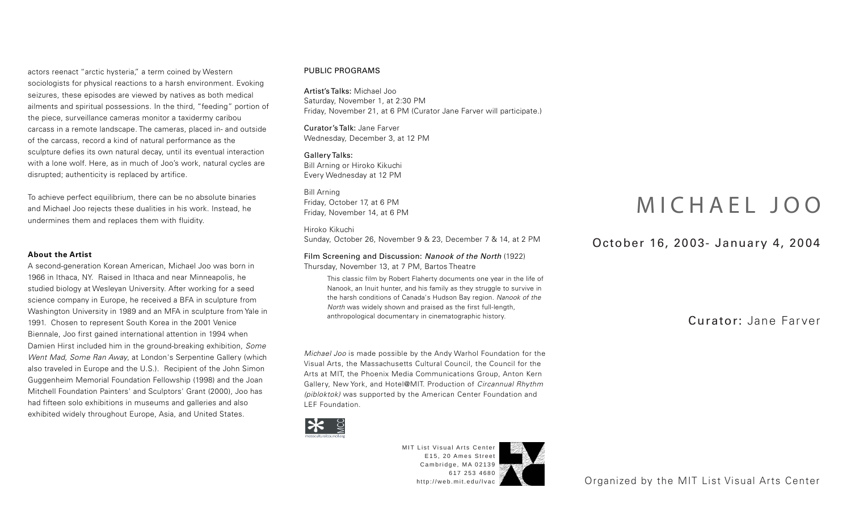actors reenact "arctic hysteria," a term coined by Western sociologists for physical reactions to a harsh environment. Evoking seizures, these episodes are viewed by natives as both medical ailments and spiritual possessions. In the third, "feeding" portion of the piece, surveillance cameras monitor a taxidermy caribou carcass in a remote landscape. The cameras, placed in- and outside of the carcass, record a kind of natural performance as the sculpture defies its own natural decay, until its eventual interaction with a lone wolf. Here, as in much of Joo's work, natural cycles are disrupted; authenticity is replaced by artifice.

To achieve perfect equilibrium, there can be no absolute binaries and Michael Joo rejects these dualities in his work. Instead, he undermines them and replaces them with fluidity.

## **About the Artist**

A second-generation Korean American, Michael Joo was born in 1966 in Ithaca, NY. Raised in Ithaca and near Minneapolis, he studied biology at Wesleyan University. After working for a seed science company in Europe, he received a BFA in sculpture from Washington University in 1989 and an MFA in sculpture from Yale in 1991. Chosen to represent South Korea in the 2001 Venice Biennale, Joo first gained international attention in 1994 when Damien Hirst included him in the ground-breaking exhibition, Some Went Mad, Some Ran Away, at London's Serpentine Gallery (which also traveled in Europe and the U.S.). Recipient of the John Simon Guggenheim Memorial Foundation Fellowship (1998) and the Joan Mitchell Foundation Painters' and Sculptors' Grant (2000), Joo has had fifteen solo exhibitions in museums and galleries and also exhibited widely throughout Europe, Asia, and United States.

## PUBLIC PROGRAMS

Artist's Talks: Michael Joo Saturday, November 1, at 2:30 PM Friday, November 21, at 6 PM (Curator Jane Farver will participate.)

Curator's Talk: Jane Farver Wednesday, December 3, at 12 PM

Gallery Talks: Bill Arning or Hiroko Kikuchi Every Wednesday at 12 PM

Bill Arning Friday, October 17, at 6 PM Friday, November 14, at 6 PM

Hiroko Kikuchi Sunday, October 26, November 9 & 23, December 7 & 14, at 2 PM

Film Screening and Discussion: Nanook of the North (1922) Thursday, November 13, at 7 PM, Bartos Theatre

This classic film by Robert Flaherty documents one year in the life of Nanook, an Inuit hunter, and his family as they struggle to survive in the harsh conditions of Canada's Hudson Bay region. Nanook of the North was widely shown and praised as the first full-length, anthropological documentary in cinematographic history.

Michael Joo is made possible by the Andy Warhol Foundation for the Visual Arts, the Massachusetts Cultural Council, the Council for the Arts at MIT, the Phoenix Media Communications Group, Anton Kern Gallery, New York, and Hotel@MIT. Production of Circannual Rhythm (pibloktok) was supported by the American Center Foundation and LEF Foundation.



MIT List Visual Arts Center E15, 20 Ames Street Cambridge, MA 02139 617 253 4680

## MICHAEL JOO

## October 16, 2003 - January 4, 2004

Curator: Jane Farver